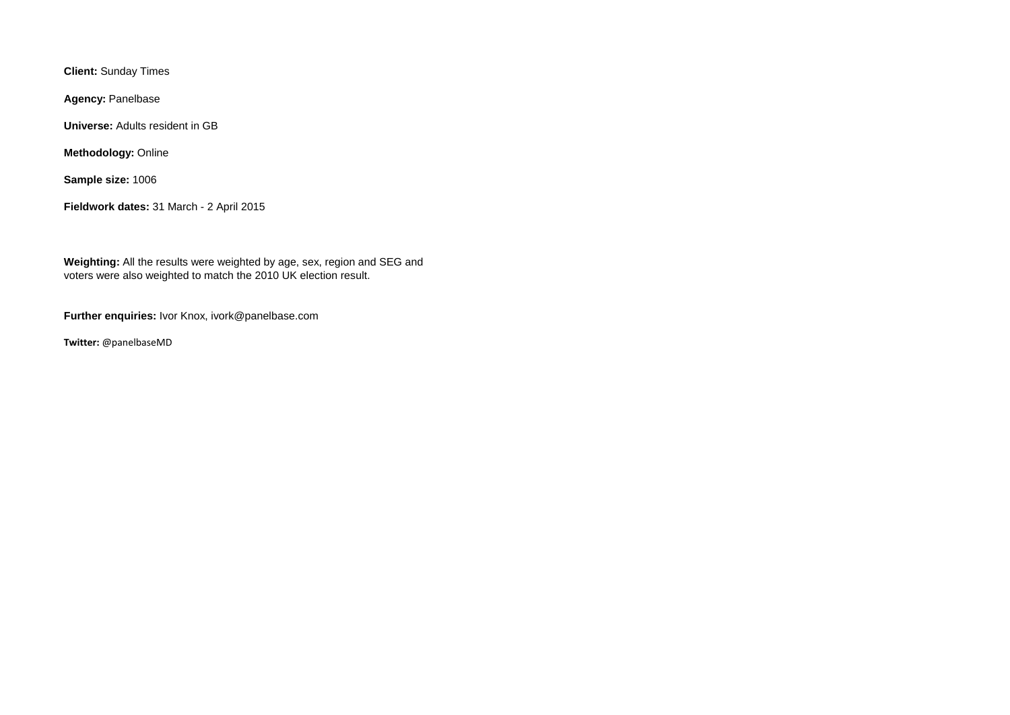**Client:** Sunday Times

**Agency:** Panelbase

**Universe:** Adults resident in GB

**Methodology:** Online

**Sample size:** 1006

**Fieldwork dates:** 31 March - 2 April 2015

**Weighting:** All the results were weighted by age, sex, region and SEG and voters were also weighted to match the 2010 UK election result.

**Further enquiries:** Ivor Knox, ivork@panelbase.com

**Twitter:** @panelbaseMD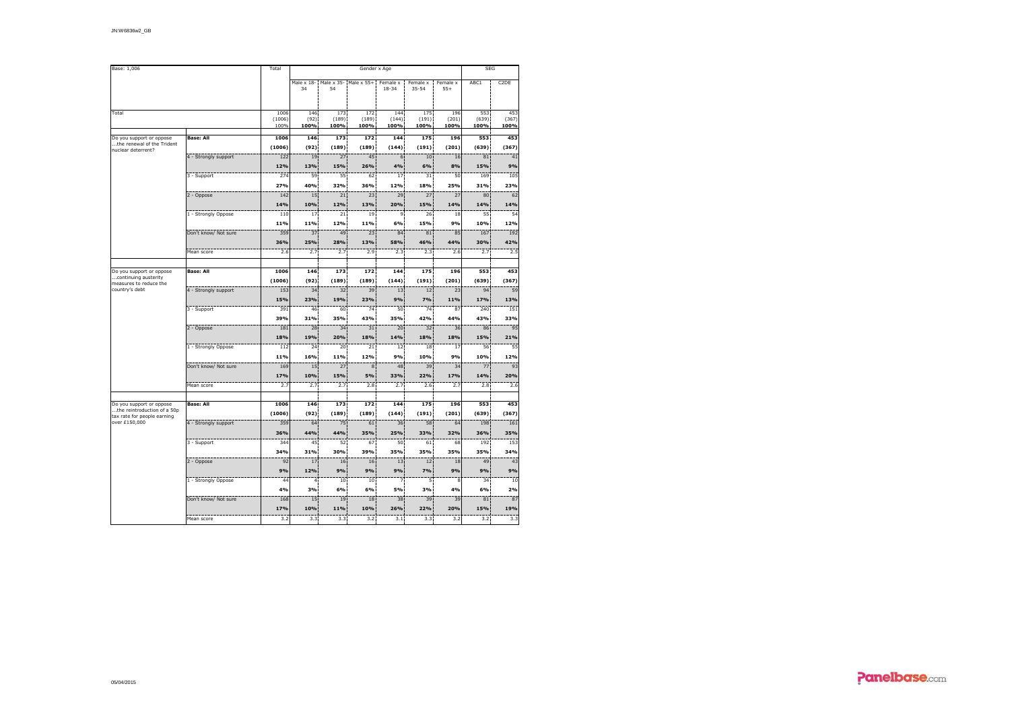| Base: 1,006                                             |                      | Total                  |                     | <b>SEG</b>           |                                               |                       |                       |                      |                      |                      |
|---------------------------------------------------------|----------------------|------------------------|---------------------|----------------------|-----------------------------------------------|-----------------------|-----------------------|----------------------|----------------------|----------------------|
|                                                         |                      |                        | Male x 18-<br>34    | 54                   | Male x 35- Male x 55+<br>172<br>(189)<br>100% | Female x<br>$18 - 34$ | Female x<br>$35 - 54$ | Female x<br>$55+$    | ABC1                 | C <sub>2</sub> DE    |
| Total                                                   |                      | 1006<br>(1006)<br>100% | 146<br>(92)<br>100% | 173<br>(189)<br>100% |                                               | 144<br>(144)<br>100%  | 175<br>(191)<br>100%  | 196<br>(201)<br>100% | 553<br>(639)<br>100% | 453<br>(367)<br>100% |
| Do you support or oppose                                | <b>Base: All</b>     | 1006                   | 146                 | 173                  | 172                                           | 144                   | 175                   | 196                  | 553                  | 453                  |
| the renewal of the Trident                              |                      | (1006)                 | (92)                | (189)                | (189)                                         | (144)                 | (191)                 | (201)                | (639)                | (367)                |
| nuclear deterrent?                                      | 4 - Strongly support | 122                    | 19                  | 27                   | 45                                            | 6                     | 10                    | 16                   | 81                   | 41                   |
|                                                         |                      | 12%                    | 13%                 | 15%                  | 26%                                           | 4%                    | 6%                    | 8%                   | 15%                  | 9%                   |
|                                                         | 3 - Support          | 274                    | 59                  | 55                   | 62                                            | 17                    | 31                    | 50                   | 169                  | 105                  |
|                                                         |                      | 27%                    | 40%                 | 32%                  | 36%                                           | 12%                   | 18%                   | 25%                  | 31%                  | 23%                  |
|                                                         | 2 - Oppose           | 142                    | 15                  | 21                   | 23                                            | 29                    | $\frac{1}{27}$        | $\frac{1}{27}$       | 80                   | 62                   |
|                                                         |                      | 14%                    | 10%                 | 12%                  | 13%                                           | 20%                   | 15%                   | 14%                  | 14%                  | 14%                  |
|                                                         | 1 - Strongly Oppose  | 110                    | 17                  | 21                   | 19                                            | 9                     | 26                    | 18                   | 55                   | 54                   |
|                                                         |                      | 11%                    | 11%                 | 12%                  | 11%                                           | 6%                    | 15%                   | 9%                   | 10%                  | 12%                  |
|                                                         | Don't know/ Not sure | 359                    | 37                  | 49                   | 23                                            | 84                    | $\overline{81}$       | 85                   | 167                  | 192                  |
|                                                         |                      | 36%                    | 25%                 | 28%                  | 13%                                           | 58%                   | 46%                   | 44%                  | 30%                  | 42%                  |
|                                                         | Mean score           | 2.6                    | 2.7                 | 2.7                  | 2.9                                           | 2.3                   | 2.3                   | 2.6                  | 2.7                  | 2.5                  |
|                                                         |                      |                        |                     |                      |                                               |                       |                       |                      |                      |                      |
| Do you support or oppose                                | <b>Base: All</b>     | 1006                   | 146                 | 173                  | 172                                           | 144                   | 175                   | 196                  | 553                  | 453                  |
| continuing austerity                                    |                      | (1006)                 | (92)                | (189)                | (189)                                         | (144)                 | (191)                 | (201)                | (639)                | (367)                |
| measures to reduce the<br>country's debt                | 4 - Strongly support | 153                    | 34                  | 32                   | 39                                            | 13                    | 12                    | 23                   | 94                   | 59                   |
|                                                         |                      | 15%                    | 23%                 | 19%                  | 23%                                           | 9%                    | 7%                    | 11%                  | 17%                  | 13%                  |
|                                                         | 3 - Support          | 391                    | 46                  | 60                   | 74                                            | 50                    | 74                    | 87                   | 240                  | 151                  |
|                                                         |                      | 39%                    | 31%                 | 35%                  | 43%                                           | 35%                   | 42%                   | 44%                  | 43%                  | 33%                  |
|                                                         | 2 - Oppose           | 181                    | 28                  | 34                   | $\overline{31}$                               | 20                    | 32                    | 36                   | 86                   | 95                   |
|                                                         |                      | 18%                    | 19%                 | 20%                  | 18%                                           | 14%                   | 18%                   | 18%                  | 15%                  | 21%                  |
|                                                         |                      |                        |                     |                      | 21                                            |                       |                       |                      |                      | 55                   |
|                                                         | 1 - Strongly Oppose  | 112<br>11%             | 24                  | 20                   | 12%                                           | 12                    | 18<br>10%             | 17                   | 56<br>10%            |                      |
|                                                         |                      |                        | 16%<br>15           | 11%<br>27            | 8                                             | 9%<br>48              | 39                    | 9%<br>34             | 77                   | 12%<br>93            |
|                                                         | Don't know/ Not sure | 169                    |                     |                      |                                               |                       |                       |                      |                      |                      |
|                                                         |                      | 17%                    | 10%                 | 15%                  | 5%                                            | 33%                   | 22%                   | 17%                  | 14%                  | 20%                  |
|                                                         | Mean score           | 2.7                    | 2.7                 | 2.7                  | 2.8                                           | 2.7                   | 2.6                   | 2.7                  | 2.8                  | 2.6                  |
|                                                         | <b>Base: All</b>     | 1006                   | 146                 | 173                  | 172                                           | 144                   | 175                   | 196                  | 553                  | 453                  |
| Do you support or oppose<br>the reintroduction of a 50p |                      |                        |                     |                      |                                               |                       |                       |                      |                      |                      |
| tax rate for people earning<br>over £150,000            |                      | (1006)                 | (92)                | (189)                | (189)                                         | (144)                 | (191)                 | (201)                | (639)                | (367)                |
|                                                         | 4 - Strongly support | 359<br>36%             | 64<br>44%           | 75<br>44%            | 61<br>35%                                     | 36<br>25%             | 58<br>33%             | 64<br>32%            | 198<br>36%           | 161<br>35%           |
|                                                         |                      |                        |                     |                      |                                               |                       |                       |                      |                      |                      |
|                                                         | 3 - Support          | 344                    | 45                  | 52                   | 67                                            | 50                    | 61                    | 68                   | 192                  | 153                  |
|                                                         |                      | 34%                    | 31%                 | 30%                  | 39%                                           | 35%                   | 35%                   | 35%                  | 35%                  | 34%                  |
|                                                         | 2 - Oppose           | 92                     | 17                  | 16                   | 16                                            | 13                    | 12                    | 18                   | 49                   | 43                   |
|                                                         |                      | 9%                     | 12%                 | 9%                   | 9%                                            | 9%                    | 7%                    | 9%                   | 9%                   | 9%                   |
|                                                         | 1 - Strongly Oppose  | 44                     | 4                   | 10                   | 10                                            |                       | 5                     | 8                    | 34                   | 10                   |
|                                                         |                      | 4%                     | 3%                  | 6%                   | 6%                                            | 5%                    | 3%                    | 4%                   | 6%                   | 2%                   |
|                                                         | Don't know/ Not sure | 168                    | 15                  | 19                   | 18                                            | 38                    | 39                    | 39                   | 81                   | 87                   |
|                                                         |                      | 17%                    | 10%                 | 11%                  | 10%                                           | 26%                   | 22%                   | 20%                  | 15%                  | 19%                  |
|                                                         | Mean score           | 3.2                    | 3.3                 | 3.3                  | 3.2                                           | 3.1                   | 3.3                   | 3.2                  | 3.2                  | 3.3                  |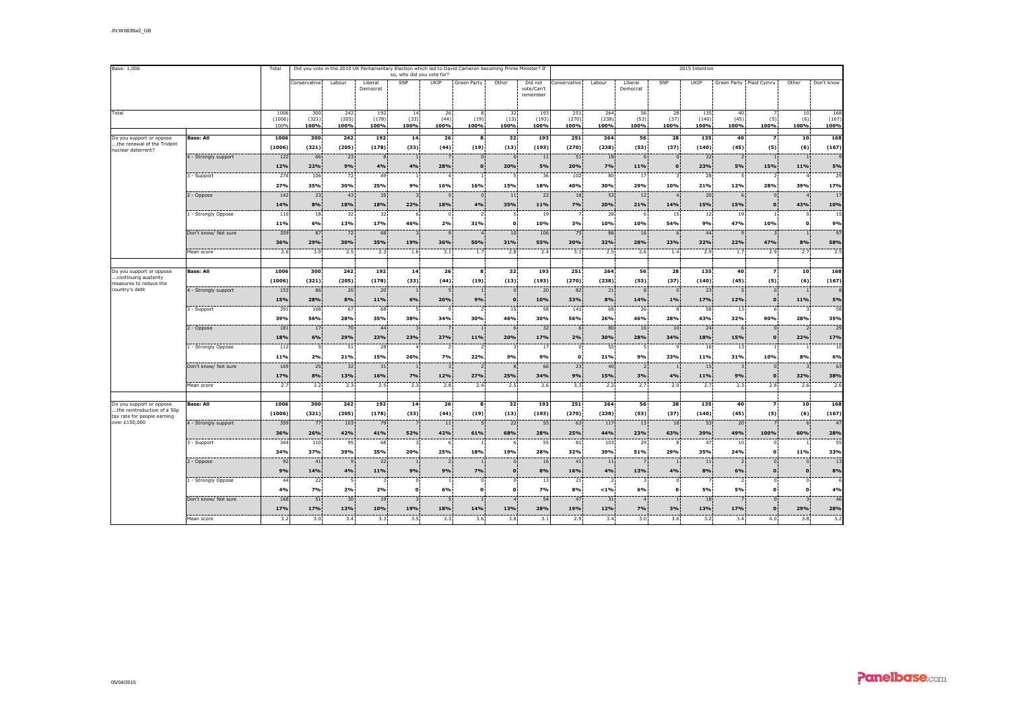| Base: 1,006                                                                            |                                             | Total                  | Did you vote in the 2010 UK Parliamentary Election which led to David Cameron becoming Prime Minister? If |                          | 2015 Intention       |                                      |                                         |                                        |                                             |                                   |                      |                            |                      |                              |                      |                                        |                                 |                                      |                      |
|----------------------------------------------------------------------------------------|---------------------------------------------|------------------------|-----------------------------------------------------------------------------------------------------------|--------------------------|----------------------|--------------------------------------|-----------------------------------------|----------------------------------------|---------------------------------------------|-----------------------------------|----------------------|----------------------------|----------------------|------------------------------|----------------------|----------------------------------------|---------------------------------|--------------------------------------|----------------------|
|                                                                                        |                                             |                        | Conservative                                                                                              | Labour                   | Liberal<br>Democrat  | SNP                                  | UKIP                                    | Green Party                            | Other                                       | Did not<br>vote/Can't<br>remember | Conservative         | Labour                     | Liberal<br>Democrat  | SNP                          | UKIP                 |                                        | Green Party Plaid Cymru         | Other                                | Don't know           |
| Total                                                                                  |                                             | 1006<br>(1006)<br>100% | 300<br>(321)<br>100%                                                                                      | 242<br>(205)<br>100%     | 192<br>(178)<br>100% | 14<br>(33)<br>100%                   | 26<br>(44)<br>100%                      | -8<br>(19)<br>100%                     | 32<br>(13)<br>100%                          | 193<br>(193)<br>100%              | 251<br>(270)<br>100% | 264<br>(238)<br>100%       | 56<br>(53)<br>100%   | 28<br>(37)<br>100%           | 135<br>(140)<br>100% | 40<br>(45)<br>100%                     | (5)<br>100%                     | 10<br>(6)<br>100%                    | 168<br>(167)<br>100% |
| Do you support or oppose<br>the renewal of the Trident<br>nuclear deterrent?           | <b>Base: All</b>                            | 1006<br>(1006)         | 300<br>(321)                                                                                              | 242<br>(205)             | 192<br>(178)         | 14<br>(33)                           | 26<br>(44)                              | 8<br>(19)                              | 32<br>(13)                                  | 193<br>(193)                      | 251<br>(270)         | 264<br>(238)               | 56<br>(53)           | 28<br>(37)                   | 135<br>(140)         | 40<br>(45)                             | $\overline{z}$<br>(5)           | 10<br>(6)                            | 168<br>(167)         |
|                                                                                        | 4 - Strongly support                        | 122<br>12%             | 66<br>22%                                                                                                 | 23<br>9%                 | 4%                   | $\mathbf{1}$<br>4%                   | 7<br>28%                                | $\mathbf{0}$<br>$\Omega$               | 6<br>20%                                    | 11<br>5%                          | 51<br>20%            | 18<br>7%                   | 6<br>11%             | $\mathbf{0}$<br>$\mathbf{0}$ | 32<br>23%            | 2<br>5%                                | 15%                             | $\mathbf{1}$<br>11%                  | 5%                   |
|                                                                                        | 3 - Support                                 | 274<br>27%<br>142      | 106<br>35%<br>23                                                                                          | 72<br>30%<br>43          | 49<br>25%<br>35      | $\mathbf{1}$<br>9%<br>$\overline{3}$ | $\overline{4}$<br>16%<br>$\overline{5}$ | 16%<br>$\Omega$                        | 5<br>15%<br>11                              | 36<br>18%<br>22                   | 102<br>40%<br>18     | 80<br>30%<br>53            | 17<br>29%<br>12      | 10%<br>$\boldsymbol{\Delta}$ | 28<br>21%<br>20      | 5<br>12%<br>6                          | 28%<br>$\Omega$                 | $\overline{4}$<br>39%                | 29<br>17%<br>17      |
|                                                                                        | 2 - Oppose<br>1 - Strongly Oppose           | 14%<br>110             | 8%<br>18                                                                                                  | 18%<br>32                | 18%<br>32            | 22%<br>6                             | 18%<br>$\Omega$                         | 4%                                     | 35%<br>$\mathbf 0$                          | 11%<br>19                         | 7%                   | 20%<br>28                  | 21%<br>6             | 14%<br>15                    | 15%<br>12            | 15%<br>19                              | $\Omega$                        | $\overline{4}$<br>43%<br>$\Omega$    | 10%<br>15            |
|                                                                                        | Don't know/ Not sure                        | 11%<br>359             | 6%<br>87                                                                                                  | 13%<br>72                | 17%<br>68            | 46%<br>3                             | 2%<br>$\mathbf{q}$                      | 31%                                    | $\mathbf{o}$<br>10                          | 10%<br>106                        | 3%<br>75             | 10%<br>86                  | 10%<br>16            | 54%                          | 9%<br>44             | 47%<br>$\mathbf{q}$                    | 10%                             | $\mathbf{o}$                         | 9%<br>97             |
|                                                                                        | Mean score                                  | 36%<br>2.6             | 29%<br>3.0                                                                                                | 30%<br>2.5               | 35%<br>2.3           | 19%<br>1.6                           | 36%<br>3.1                              | 50%<br>1.7                             | 31%<br>2.8                                  | 55%<br>2.4                        | 30%<br>3.1           | 32%<br>2.5                 | 28%<br>2.6           | 23%<br>1.4                   | 32%<br>2.9           | 22%<br>1.7                             | 47%<br>2.9                      | 8%<br>2.7                            | 58%<br>2.5           |
|                                                                                        |                                             |                        |                                                                                                           |                          |                      |                                      |                                         |                                        |                                             |                                   |                      |                            |                      |                              |                      |                                        |                                 |                                      |                      |
| Do you support or oppose<br>.continuing austerity<br>measures to reduce the            | <b>Base: All</b>                            | 1006<br>(1006)         | 300<br>(321)                                                                                              | 242<br>(205)             | 192<br>(178)         | 14<br>(33)                           | 26<br>(44)                              | 8<br>(19)                              | 32<br>(13)                                  | 193<br>(193)                      | 251<br>(270)         | 264<br>(238)               | 56<br>(53)           | 28<br>(37)                   | 135<br>(140)         | 40<br>(45)                             | $\overline{z}$<br>(5)           | 10<br>(6)                            | 168<br>(167)         |
| country's debt                                                                         | 4 - Strongly support                        | 153<br>15%<br>391      | 86<br>28%<br>168                                                                                          | 20<br>8%<br>67           | 20<br>11%<br>68      | $\mathbf{1}$<br>6%<br>5              | 5<br>20%<br>$\mathbf{Q}$                | $\overline{1}$<br>9%<br>$\overline{2}$ | $\overline{0}$<br>$\Omega$<br>15            | 20<br>10%<br>58                   | 82<br>33%<br>141     | 21<br>8%<br>68             | 8<br>14%<br>26       | $\mathbf{0}$<br>1%<br>8      | 23<br>17%<br>58      | -5<br>12%<br>13                        | $\mathbf{0}$<br>$\Omega$<br>6   | 1<br>11%<br>$\overline{\mathbf{3}}$  | 5%<br>58             |
|                                                                                        | 3 - Support<br>2 - Oppose                   | 39%<br>181             | 56%<br>17                                                                                                 | 28%<br>70                | 35%<br>44            | 38%<br>3                             | 34%                                     | 30%                                    | 46%<br>6                                    | 30%<br>32                         | 56%<br>6             | 26%<br>80                  | 46%<br>16            | 28%<br>10                    | 43%<br>24            | 32%<br>6                               | 90%<br>$\Omega$                 | 28%<br>$\overline{2}$                | 35%<br>29            |
|                                                                                        | 1 - Strongly Oppose                         | 18%<br>112             | 6%<br>5                                                                                                   | 29%<br>51                | 23%<br>28            | 23%<br>$\overline{4}$                | 27%<br>$\overline{2}$                   | 11%                                    | 20%<br>3                                    | 17%<br>17                         | 2%<br>$\Omega$       | 30%<br>55                  | 28%<br>5             | 34%<br>٠q                    | 18%<br>16            | 15%<br>13                              | $\Omega$                        | 22%                                  | 17%<br>10            |
|                                                                                        | Don't know/ Not sure                        | 11%<br>169             | 2%<br>25                                                                                                  | 21%<br>32                | 15%<br>31            | 26%<br>$\mathbf{1}$                  | 7%<br>$\overline{3}$                    | 22%                                    | 9%<br>8                                     | 9%<br>66                          | $\Omega$<br>23       | 21%<br>40                  | 9%<br>$\overline{2}$ | 33%                          | 11%<br>15            | 31%<br>$\overline{3}$                  | 10%<br>$\Omega$                 | 8%<br>3                              | 6%<br>63             |
|                                                                                        | Mean score                                  | 17%<br>2.1             | 8%<br>3.2                                                                                                 | 13%<br>2.3               | 16%<br>2.5           | 7%<br>2.3                            | 12%<br>2.8                              | 27%<br>2.4                             | 25%<br>2.5                                  | 34%<br>2.6                        | 9%<br>3.3            | 15%<br>2.2                 | 3%<br>2.7            | 4%<br>2.0                    | 11%<br>2.7           | 9%<br>2.3                              | $\Omega$<br>2.8                 | 32%<br>2.6                           | 38%<br>2.6           |
|                                                                                        |                                             |                        |                                                                                                           |                          |                      |                                      |                                         |                                        |                                             |                                   |                      |                            |                      |                              |                      |                                        |                                 |                                      |                      |
| Do you support or oppose<br>the reintroduction of a 50p<br>tax rate for people earning | <b>Base: All</b>                            | 1006<br>(1006)         | 300<br>(321)                                                                                              | 242<br>(205)             | 192<br>(178)         | 14<br>(33)                           | 26 <sup>2</sup><br>(44)                 | $\mathbf{R}$<br>(19)                   | 32<br>(13)                                  | 193<br>(193)                      | 251<br>(270)         | 264<br>(238)               | 56<br>(53)           | 28<br>(37)                   | 135<br>(140)         | 40<br>(45)                             | $\overline{\phantom{a}}$<br>(5) | 10<br>(6)                            | 168<br>(167)         |
| over £150,000                                                                          | 4 - Strongly support                        | 359<br>36%             | 77<br>26%                                                                                                 | 103<br>42%               | 79<br>41%            | 52%                                  | 11<br>42%                               | -5<br>61%                              | 22<br>68%                                   | 55<br>28%                         | 63<br>25%            | 117<br>44%                 | 13<br>23%            | 18<br>63%                    | 53<br>39%            | 20<br>49%                              | 100%                            | 6<br>60%                             | 47<br>28%            |
|                                                                                        | 3 - Support                                 | 34<br>34%              | 110<br>37%                                                                                                | 95<br>39%                | 68<br>35%            | 3<br>20%                             | 6<br>25%                                | 18%                                    | 6<br>19%                                    | 55<br>28%                         | 81<br>32%            | 103<br>39%                 | 29<br>51%            | 8<br>29%                     | 47<br>35%            | 10<br>24%                              | $\Omega$<br>$\mathbf{o}$        | 11%                                  | 55<br>33%            |
|                                                                                        | 2 - Oppose                                  | 92<br>9%<br>44         | 41<br>14%<br>22                                                                                           | $\mathbf{q}$<br>4%<br>-5 | 22<br>11%            | -1<br>9%<br>$\Omega$                 | $\overline{2}$<br>9%<br>-1              | 7%<br>$\Omega$                         | $\mathbf{0}$<br>$\mathbf{o}$<br>$\mathbf 0$ | 16<br>8%                          | 41<br>16%            | 11<br>4%<br>$\overline{2}$ | 13%<br>3             | 4%<br>$\Omega$               | 11<br>8%             | 2 <sup>1</sup><br>6%<br>$\overline{2}$ | $\Omega$<br>$\Omega$            | $\Omega$<br>$\mathbf{o}$<br>$\Omega$ | 13<br>8%             |
|                                                                                        | 1 - Strongly Oppose<br>Don't know/ Not sure | 4%<br>168              | 7%<br>51                                                                                                  | 2%<br>30                 | 2%                   | $\Omega$<br>3                        | 6%<br>5                                 | $\Omega$                               | $\mathbf{o}$                                | 13<br><b>7%</b><br>54             | 21<br>8%             | $< 1\%$<br>31              | 6%<br>$\overline{4}$ | O                            | 5%<br>18             | 5%                                     | $\Omega$<br>$\Omega$            | $\Omega$<br>3                        | 4%<br>46             |
|                                                                                        | Mean score                                  | 17%<br>3.2             | 17%<br>3.0                                                                                                | 13%<br>3.4               | 19<br>10%<br>3.3     | 19%<br>3.5                           | 18%<br>3.3                              | 14%<br>$3.6^{\circ}$                   | 13%<br>3.8                                  | 28%<br>3.1                        | 47<br>19%<br>2.9     | 12%<br>3.4                 | 7%<br>3.0            | 3%<br>3.6                    | 13%<br>3.2           | 17%<br>3.4                             | $\mathbf{o}$<br>4.0             | 29%<br>3.8                           | 28%<br>3.2           |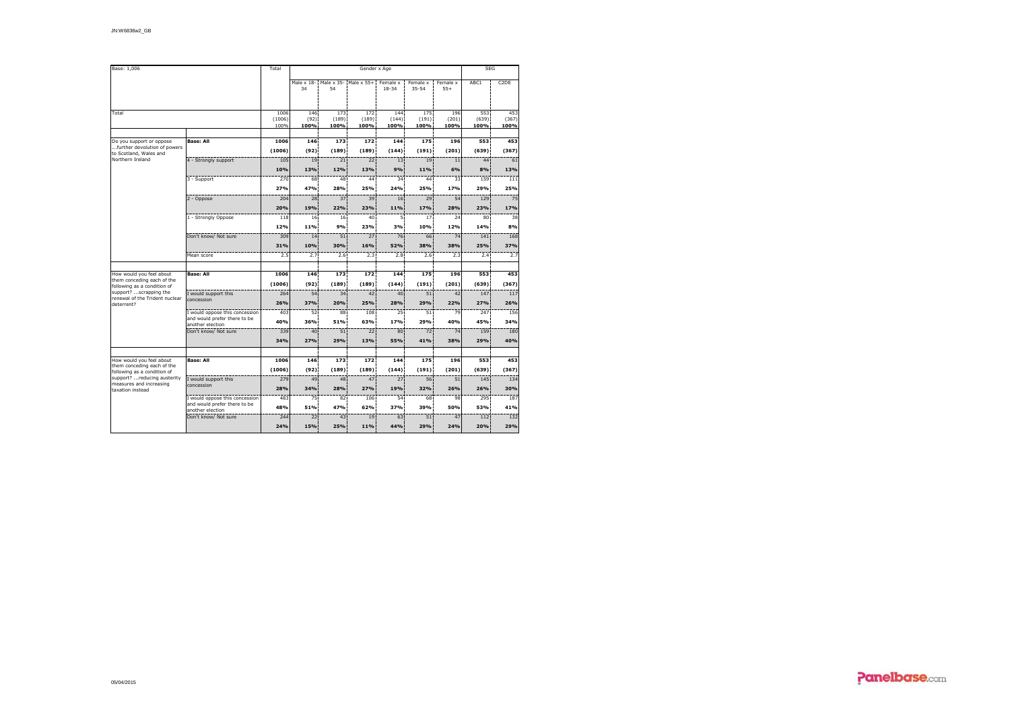| Base: 1,006                                               |                                          | Total          |                  | <b>SEG</b>    |                       |                       |                       |                   |               |                   |
|-----------------------------------------------------------|------------------------------------------|----------------|------------------|---------------|-----------------------|-----------------------|-----------------------|-------------------|---------------|-------------------|
|                                                           |                                          |                | Male x 18-<br>34 | 54            | Male x 35- Male x 55+ | Female x<br>$18 - 34$ | Female x<br>$35 - 54$ | Female x<br>$55+$ | ABC1          | C <sub>2</sub> DE |
|                                                           |                                          |                |                  |               |                       |                       |                       |                   |               |                   |
| Total                                                     |                                          | 1006           | 146              | 173           | 172                   | 144                   | 175                   | 196               | 553           | 453               |
|                                                           |                                          | (1006)<br>100% | (92)<br>100%     | (189)<br>100% | (189)<br>100%         | (144)<br>100%         | (191)<br>100%         | (201)<br>100%     | (639)<br>100% | (367)<br>100%     |
|                                                           |                                          |                |                  |               |                       |                       |                       |                   |               |                   |
| Do you support or oppose                                  | <b>Base: All</b>                         | 1006           | 146              | 173           | 172                   | 144                   | 175                   | 196               | 553           | 453               |
| further devolution of powers<br>to Scotland, Wales and    |                                          | (1006)         | (92)             | (189)         | (189)                 | (144)                 | (191)                 | (201)             | (639)         | (367)             |
| Northern Ireland                                          | 4 - Strongly support                     | 105            | 19               | 21            | 22                    | 13                    | 19                    | 11                | 44            | 61                |
|                                                           |                                          | 10%            | 13%              | 12%           | 13%                   | 9%                    | 11%                   | 6%                | 8%            | 13%               |
|                                                           | 3 - Support                              | 270            | 68               | 48            | 44                    | 34                    | 44                    | 33                | 159           | 111               |
|                                                           |                                          | 27%            | 47%              | 28%           | 25%                   | 24%                   | 25%                   | 17%               | 29%           | 25%               |
|                                                           | 2 - Oppose                               | 204            | 28               | 37            | 39                    | 16                    | 29                    | 54                | 129           | 75                |
|                                                           |                                          | 20%            | 19%              | 22%           | 23%                   | 11%                   | 17%                   | 28%               | 23%           | 17%               |
|                                                           | 1 - Strongly Oppose                      | 118            | 16 <sup>2</sup>  | 16            | 40                    | 5                     | 17                    | 24                | 80            | 38                |
|                                                           |                                          | 12%            | 11%              | 9%            | 23%                   | 3%                    | 10%                   | 12%               | 14%           | 8%                |
|                                                           | Don't know/ Not sure                     | 309            | 14               | 51            | 27                    | 76                    | 66                    | 74                | 141           | 168               |
|                                                           |                                          | 31%            | 10%              | 30%           | 16%                   | 52%                   | 38%                   | 38%               | 25%           | 37%               |
|                                                           | Mean score                               | 2.5            | 2.7 <sup>2</sup> | 2.6           | 2.3                   | 2.8                   | 2.6                   | 2.3               | 2.4           | 2.7               |
|                                                           |                                          |                |                  |               |                       |                       |                       |                   |               |                   |
| How would you feel about                                  | <b>Base: All</b>                         | 1006           | 146              | 173           | 172                   | 144                   | 175                   | 196               | 553           | 453               |
| them conceding each of the                                |                                          | (1006)         | (92)             | (189)         | (189)                 | (144)                 | (191)                 | (201)             | (639)         | (367)             |
| following as a condition of<br>support? scrapping the     | I would support this                     | 264            | 54               | 34            | 42                    | 40                    | 51                    | 42                | 147           | 117               |
| renewal of the Trident nuclear<br>deterrent?              | concession                               | 26%            | 37%              | 20%           | 25%                   | 28%                   | 29%                   | 22%               | 27%           | 26%               |
|                                                           | I would oppose this concession           | 403            | 52               | 88            | 108                   | 25                    | 51                    | 79                | 247           | 156               |
|                                                           | and would prefer there to be             | 40%            | 36%              | 51%           | 63%                   | 17%                   | 29%                   | 40%               | 45%           | 34%               |
|                                                           | another election<br>Don't know/ Not sure | 339            | 40               | 51            | 22                    | 80                    | 72                    | 74                | 159           | 180               |
|                                                           |                                          | 34%            | 27%              | 29%           | 13%                   | 55%                   | 41%                   | 38%               | 29%           | 40%               |
|                                                           |                                          |                |                  |               |                       |                       |                       |                   |               |                   |
| How would you feel about                                  | <b>Base: All</b>                         | 1006           | 146              | 173           | 172                   | 144                   | 175                   | 196               | 553           | 453               |
| them conceding each of the<br>following as a condition of |                                          | (1006)         | (92)             | (189)         | (189)                 | (144)                 | (191)                 | (201)             | (639)         | (367)             |
| support?  reducing austerity                              | I would support this                     | 279            | 49               | 48            | 47                    | 27                    | 56                    | 51                | 145           | 134               |
| measures and increasing<br>taxation instead               | concession                               | 28%            | 34%              | 28%           | 27%                   | 19%                   | 32%                   | 26%               | 26%           | 30%               |
|                                                           | I would oppose this concession           | 483            | 75               | 82            | 106                   | 54                    | 68                    | 98                | 295           | 187               |
|                                                           | and would prefer there to be             | 48%            | 51%              | 47%           | 62%                   | 37%                   | 39%                   | 50%               | 53%           | 41%               |
|                                                           | another election<br>Don't know/ Not sure | 244            | 22               | 43            | 19                    | 63                    | 51                    | 47                | 112           | 132               |
|                                                           |                                          | 24%            | 15%              | 25%           | 11%                   | 44%                   | 29%                   | 24%               | 20%           | 29%               |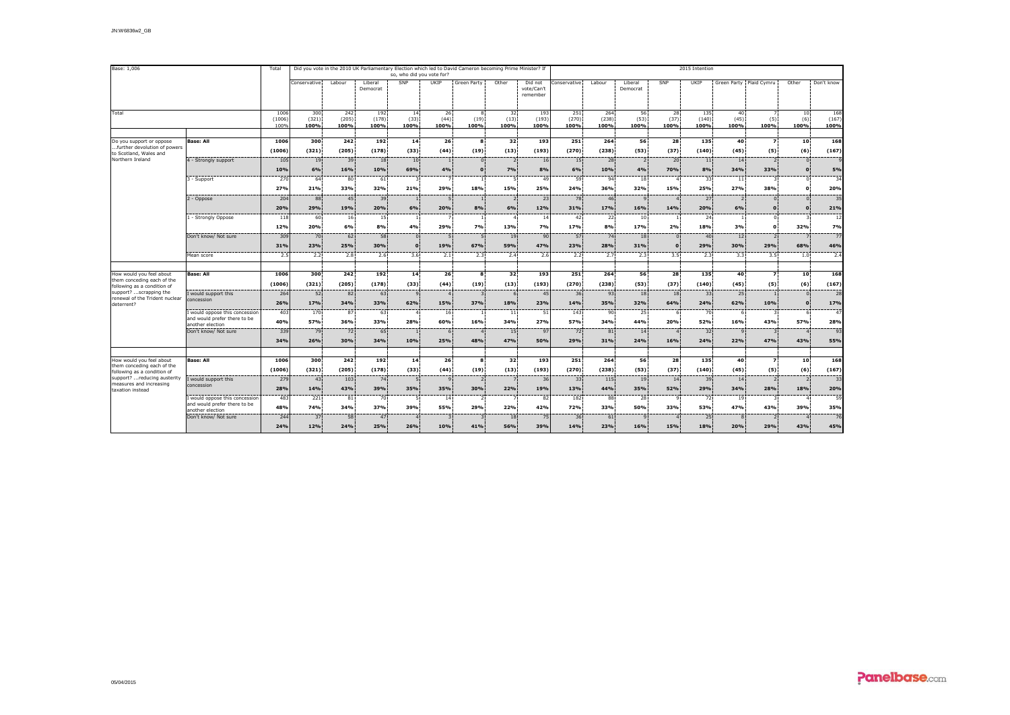| Base: 1,006                                               |                                                                | Total          |               |               |                     |                           |                       | Did you vote in the 2010 UK Parliamentary Election which led to David Cameron becoming Prime Minister? If |                                 |                                   | 2015 Intention  |               |                     |              |               |                         |                                 |                       |                        |  |  |
|-----------------------------------------------------------|----------------------------------------------------------------|----------------|---------------|---------------|---------------------|---------------------------|-----------------------|-----------------------------------------------------------------------------------------------------------|---------------------------------|-----------------------------------|-----------------|---------------|---------------------|--------------|---------------|-------------------------|---------------------------------|-----------------------|------------------------|--|--|
|                                                           |                                                                |                |               |               |                     | so, who did you vote for? |                       |                                                                                                           |                                 |                                   |                 |               |                     |              |               |                         |                                 |                       |                        |  |  |
|                                                           |                                                                |                | Conservative  | Labour        | Liberal<br>Democrat | SNP                       | UKIP                  | Green Party                                                                                               | Other                           | Did not<br>vote/Can't<br>remember | Conservative    | Labour        | Liberal<br>Democrat | SNP          | UKIP          | Green Party Plaid Cymru |                                 | Other                 | Don't know             |  |  |
| Total                                                     |                                                                | 1006           | 300           | 242           | 192                 | 14                        | 26                    | 8                                                                                                         | 32                              | 193                               | 251             | 264           | 56                  | 28           | 135           | 40                      |                                 | 10                    | 168                    |  |  |
|                                                           |                                                                | (1006)<br>100% | (321)<br>100% | (205)<br>100% | (178)<br>100%       | (33)<br>100%              | (44)<br>100%          | (19)<br>100%                                                                                              | (13)<br>100%                    | (193)<br>100%                     | (270)<br>100%   | (238)<br>100% | (53)<br>100%        | (37)<br>100% | (140)<br>100% | (45)<br>100%            | (5)<br>100%                     | (6)<br>100%           | (167)<br>100%          |  |  |
| Do you support or oppose                                  | <b>Base: All</b>                                               | 1006           | 300           | 242           | 192                 | 14                        | 26                    | $\mathbf{s}$                                                                                              | 32 <sup>1</sup>                 | 193                               | 251             | 264           | 56                  | 28           | 135           | 40                      | $\overline{\phantom{a}}$        | 10                    | 168                    |  |  |
| .further devolution of powers<br>to Scotland, Wales and   |                                                                | (1006)         | (321)         | (205)         | (178)               | (33)                      | (44)                  | (19)                                                                                                      | (13)                            | (193)                             | (270)           | (238)         | (53)                | (37)         | (140)         | (45)                    | (5)                             | (6)                   | (167)                  |  |  |
| Northern Ireland                                          | 4 - Strongly support                                           | 105            | 19            | 39            | 18                  | 10 <sup>3</sup>           | $\overline{1}$        | $\Omega$                                                                                                  | $\overline{2}$                  | 16                                | 15 <sup>1</sup> | 28            | $\overline{2}$      | 20           | 11            | 14                      | $\overline{2}$                  | $\Omega$              | $\mathbf{q}$           |  |  |
|                                                           |                                                                | 10%            | 6%            | 16%           | 10%                 | 69%                       | 4%                    | $\Omega$                                                                                                  | 7%                              | 8%                                | 6%              | 10%           | 4%                  | 70%          | 8%            | 34%                     | 33%                             | $\Omega$              | 5%                     |  |  |
|                                                           | 3 - Support                                                    | 270<br>27%     | 64<br>21%     | 80<br>33%     | 61<br>32%           | $\mathcal{R}$<br>21%      | $\overline{7}$<br>29% | 18%                                                                                                       | $\overline{\phantom{a}}$<br>15% | 49<br>25%                         | 59<br>24%       | 94<br>36%     | 18<br>32%           | 15%          | 33<br>25%     | 11<br>27%               | $\mathbf{z}$<br>38%             | $\Omega$<br>$\Omega$  | 34<br>20%              |  |  |
|                                                           | 2 - Oppose                                                     | 204            | 88            | 45            | 39                  |                           | 5                     |                                                                                                           | $\overline{\phantom{0}}$        | 23                                | 78              | 46            | $\mathbf{q}$        |              | 27            | $\overline{2}$          | $\Omega$                        |                       | 35                     |  |  |
|                                                           |                                                                | 20%            | 29%           | 19%           | 20%                 | 6%                        | 20%                   | 8%                                                                                                        | 6%                              | 12%                               | 31%             | 17%           | 16%                 | 14%          | 20%           | 6%                      | $\Omega$                        |                       | 21%                    |  |  |
|                                                           | 1 - Strongly Oppose                                            | 118            | 60            | 16            | 15                  | $\overline{1}$            | $\overline{7}$        |                                                                                                           |                                 | 14                                | 42              | 22            | 10                  |              | 24            | $\mathbf{1}$            | $\Omega$                        |                       | 12                     |  |  |
|                                                           |                                                                | 12%            | 20%           | 6%            | 8%                  | 4%                        | 29%                   | 7%                                                                                                        | 13%                             | 7%                                | 17%             | 8%            | 17%                 | 2%           | 18%           | 3%                      | $\Omega$                        | 32%                   | 7%                     |  |  |
|                                                           | Don't know/ Not sure                                           | 309            | 70            | 62            | 58                  | $\Omega$                  | 5                     | 5                                                                                                         | 19                              | 90                                | 57              | 74            | 18                  | $\Omega$     | 40            | 12                      | $\overline{2}$                  |                       | 77                     |  |  |
|                                                           |                                                                | 31%            | 23%           | 25%           | 30%                 | $\mathbf{c}$              | 19%                   | 67%                                                                                                       | 59%                             | 47%                               | 23%             | 28%           | 31%                 | n            | 29%           | 30%                     | 29%                             | 68%                   | 46%                    |  |  |
|                                                           | Mean score                                                     | 2.5            | 2.2           | 2.8           | 2.6 <sup>1</sup>    | 3.6                       | 2.1                   | 2.3                                                                                                       | 2.4                             | 2.6                               | 2.2             | 2.7           | 2.3                 | 3.5          | 2.3           | 3.3                     | 3.5                             | 1.0                   | 2.4                    |  |  |
| How would you feel about                                  | <b>Base: All</b>                                               | 1006           | 300           | 242           | 192                 | 14                        | 26                    | $\mathbf{s}$                                                                                              | 32                              | 193                               | 251             | 264           | 56                  | 28           | 135           | 40                      | $\overline{ }$                  | 10                    | 168                    |  |  |
| them conceding each of the<br>following as a condition of |                                                                | (1006)         | (321)         | (205)         | (178)               | (33)                      | (44)                  | (19)                                                                                                      | (13)                            | (193)                             | (270)           | (238)         | (53)                | (37)         | (140)         | (45)                    | (5)                             | (6)                   | (167)                  |  |  |
| support? scrapping the<br>renewal of the Trident nuclear  | I would support this<br>concession                             | 264            | 52            | 82            | 63                  | $\mathbf{q}$              | $\overline{4}$        | 3                                                                                                         | 6                               | 45                                | 36              | 93            | 18                  | 18           | 33            | 25                      | $\mathbf{1}$                    | $\Omega$              | 28                     |  |  |
| deterrent?                                                |                                                                | 26%            | 17%           | 34%           | 33%                 | 62%                       | 15%                   | 37%                                                                                                       | 18%                             | 23%                               | 14%             | 35%           | 32%                 | 64%          | 24%           | 62%                     | 10%                             | $\Omega$              | 17%                    |  |  |
|                                                           | I would oppose this concession<br>and would prefer there to be | 403            | 170           | 87            | 63                  | $\overline{a}$            | 16                    |                                                                                                           | 11                              | 51                                | 143             | 90            | 25                  |              | 70            | 6                       | 3                               | 6                     | 47                     |  |  |
|                                                           | another election<br>Don't know/ Not sure                       | 40%<br>339     | 57%<br>79     | 36%<br>72     | 33%<br>65           | 28%                       | 60%<br>6              | 16%<br>$\Delta$                                                                                           | 34%<br>15                       | 27%<br>97                         | 57%<br>72       | 34%<br>81     | 44%<br>14           | 20%          | 52%<br>32     | 16%<br>$\mathbf{q}$     | 43%<br>$\overline{3}$           | 57%                   | 28%<br>93              |  |  |
|                                                           |                                                                | 34%            | 26%           | 30%           | 34%                 | 10%                       | 25%                   | 48%                                                                                                       | 47%                             | 50%                               | 29%             | 31%           | 24%                 | 16%          | 24%           | 22%                     | 47%                             | 43%                   | 55%                    |  |  |
|                                                           |                                                                |                |               |               |                     |                           |                       |                                                                                                           |                                 |                                   |                 |               |                     |              |               |                         |                                 |                       |                        |  |  |
| How would you feel about<br>them conceding each of the    | <b>Base: All</b>                                               | 1006           | 300           | 242           | 192                 | 14                        | 26                    | s.                                                                                                        | 32                              | 193                               | 251             | 264           | 56                  | 28           | 135           | 40                      | $\overline{\phantom{a}}$        | 10                    | 168                    |  |  |
| following as a condition of                               |                                                                | (1006)         | (321)         | (205)         | (178)               | (33)                      | (44)                  | (19)                                                                                                      | (13)                            | (193)                             | (270)           | (238)         | (53)                | (37)         | (140)         | (45)                    | (5)                             | (6)                   | (167)                  |  |  |
| support?  reducing austerity<br>measures and increasing   | I would support this<br>concession                             | 279<br>28%     | 43<br>14%     | 103<br>43%    | 74<br>39%           | -5<br>35%                 | $\alpha$<br>35%       | $\overline{\phantom{a}}$<br>30%                                                                           | 22%                             | $\overline{36}$<br>19%            | 33<br>13%       | 115<br>44%    | 19<br>35%           | 14<br>52%    | 39<br>29%     | 14<br>34%               | $\overline{\phantom{0}}$<br>28% | $\overline{z}$<br>18% | $\overline{33}$<br>20% |  |  |
| taxation instead                                          | I would oppose this concession                                 | 483            | 221           | 81            | 70                  | 5                         | 14                    | $\mathcal{P}$                                                                                             |                                 | 82                                | 182             | 88            | 28                  | $\alpha$     | 72            | 19                      | $\mathbf{z}$                    |                       | 59                     |  |  |
|                                                           | and would prefer there to be<br>another election               | 48%            | 74%           | 34%           | 37%                 | 39%                       | 55%                   | 29%                                                                                                       | 22%                             | 42%                               | 72%             | 33%           | 50%                 | 33%          | 53%           | 47%                     | 43%                             | 39%                   | 35%                    |  |  |
|                                                           | Don't know/ Not sure                                           | 244            | 37            | 58            | 47                  |                           | 3                     |                                                                                                           | 18                              | 75                                | 36              | 61            | $\mathbf{q}$        |              | 25            | $\mathbf{a}$            | $\overline{z}$                  |                       | 76                     |  |  |
|                                                           |                                                                | 24%            | 12%           | 24%           | 25%                 | 26%                       | 10%                   | 41%                                                                                                       | 56%                             | 39%                               | 14%             | 23%           | 16%                 | 15%          | 18%           | 20%                     | 29%                             | 43%                   | 45%                    |  |  |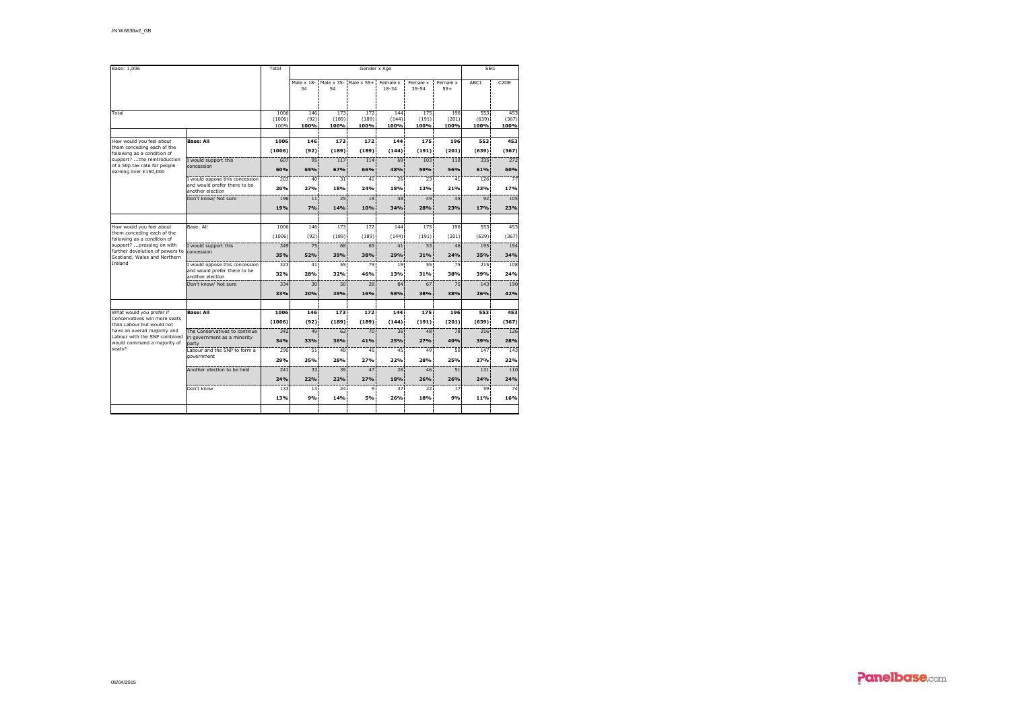| Base: 1,006                                                     |                                                              | Total          |                  | <b>SEG</b>    |                       |                       |                       |                   |               |                   |
|-----------------------------------------------------------------|--------------------------------------------------------------|----------------|------------------|---------------|-----------------------|-----------------------|-----------------------|-------------------|---------------|-------------------|
|                                                                 |                                                              |                | Male x 18-<br>34 | 54            | Male x 35- Male x 55+ | Female x<br>$18 - 34$ | Female x<br>$35 - 54$ | Female x<br>$55+$ | ABC1          | C <sub>2</sub> DE |
| Total                                                           |                                                              | 1006           | 146              | 173           | 172                   | 144                   | 175                   | 196               | 553           | 453               |
|                                                                 |                                                              | (1006)<br>100% | (92)<br>100%     | (189)<br>100% | (189)<br>100%         | (144)<br>100%         | (191)<br>100%         | (201)<br>100%     | (639)<br>100% | (367)<br>100%     |
| How would you feel about                                        | <b>Base: All</b>                                             | 1006           | 146              | 173           | 172                   | 144                   | 175                   | 196               | 553           | 453               |
| them conceding each of the<br>following as a condition of       |                                                              | (1006)         | (92)             | (189)         | (189)                 | (144)                 | (191)                 | (201)             | (639)         | (367)             |
| support? the reintroduction                                     | I would support this                                         | 607            | 95               | 117           | 114                   | 69                    | 103                   | 110               | 335           | 272               |
| of a 50p tax rate for people<br>earning over £150,000           | concession                                                   | 60%            | 65%              | 67%           | 66%                   | 48%                   | 59%                   | 56%               | 61%           | 60%               |
|                                                                 | I would oppose this concession                               | 203            | 40               | 31            | 41                    | 26                    | 23 <sup>1</sup>       | 41                | 126           | $\overline{77}$   |
|                                                                 | and would prefer there to be<br>another election             | 20%            | 27%              | 18%           | 24%                   | 18%                   | 13%                   | 21%               | 23%           | 17%               |
|                                                                 | Don't know/ Not sure                                         | 196            | 11               | 25            | 18                    | 48                    | 49                    | 45                | 92            | 105               |
|                                                                 |                                                              | 19%            | 7%               | 14%           | 10%                   | 34%                   | 28%                   | 23%               | 17%           | 23%               |
| How would you feel about                                        | Base: All                                                    | 1006           | 146              | 173           | 172                   | 144                   | 175                   | 196               | 553           | 453               |
| them conceding each of the                                      |                                                              | (1006)         | (92)             | (189)         | (189)                 | (144)                 | (191)                 | (201)             | (639)         | (367)             |
| following as a condition of<br>support? pressing on with        | I would support this                                         | 349            | 75               | 68            | 65                    | 41                    | 53                    | 46                | 195           | 154               |
| further devolution of powers to<br>Scotland, Wales and Northern | concession                                                   | 35%            | 52%              | 39%           | 38%                   | 29%                   | 31%                   | 24%               | 35%           | 34%               |
| Ireland                                                         | I would oppose this concession                               | 323            | 41               | 55            | 79                    | 19                    | 55                    | 75                | 215           | 108               |
|                                                                 | and would prefer there to be<br>another election             | 32%            | 28%              | 32%           | 46%                   | 13%                   | 31%                   | 38%               | 39%           | 24%               |
|                                                                 | Don't know/ Not sure                                         | 334            | 30               | 50            | 28                    | 84                    | 67                    | 75                | 143           | 190               |
|                                                                 |                                                              | 33%            | 20%              | 29%           | 16%                   | 58%                   | 38%                   | 38%               | 26%           | 42%               |
|                                                                 |                                                              |                |                  |               |                       |                       |                       |                   |               |                   |
| What would you prefer if<br>Conservatives win more seats        | <b>Base: All</b>                                             | 1006           | 146              | 173           | 172                   | 144                   | 175                   | 196               | 553           | 453               |
| than Labour but would not                                       |                                                              | (1006)         | (92)             | (189)         | (189)                 | (144)                 | (191)                 | (201)             | (639)         | (367)             |
| have an overall majority and<br>Labour with the SNP combined    | The Conservatives to continue<br>in government as a minority | 342<br>34%     | 49<br>33%        | 62<br>36%     | 70<br>41%             | 36<br>25%             | 48<br>27%             | 78<br>40%         | 216<br>39%    | 126<br>28%        |
| would command a majority of<br>seats?                           | party<br>Labour and the SNP to form a                        | 290            | 51               | 48            | 46                    | 45                    | 49                    | 50                | 147           | 143               |
|                                                                 | government                                                   | 29%            | 35%              | 28%           | 27%                   | 32%                   | 28%                   | 25%               | 27%           | 32%               |
|                                                                 | Another election to be held                                  | 241            | 33               | 39            | 47                    | 26                    | 46                    | 51                | 131           | 110               |
|                                                                 |                                                              | 24%            | 22%              | 22%           | 27%                   | 18%                   | 26%                   | 26%               | 24%           | 24%               |
|                                                                 | Don't know                                                   | 133            | 13               | 24            | $\mathbf{Q}$          | 37                    | 32                    | 17                | 59            | 74                |
|                                                                 |                                                              | 13%            | 9%               | 14%           | 5%                    | 26%                   | 18%                   | 9%                | 11%           | 16%               |
|                                                                 |                                                              |                |                  |               |                       |                       |                       |                   |               |                   |